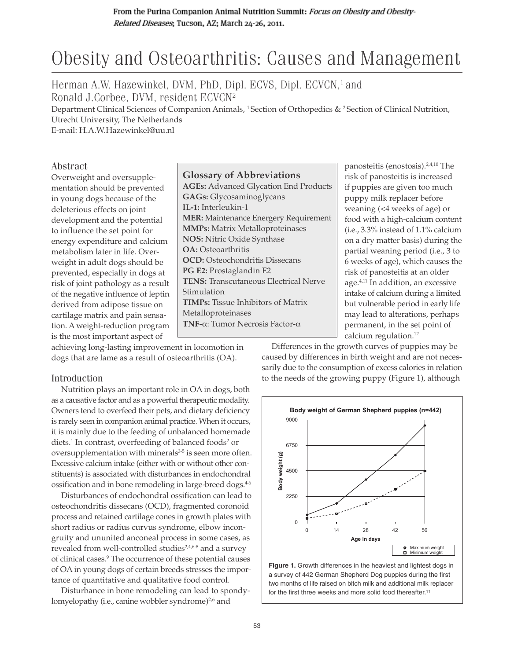# Obesity and Osteoarthritis: Causes and Management

Herman A.W. Hazewinkel, DVM, PhD, Dipl. ECVS, Dipl. ECVCN,<sup>1</sup> and Ronald J.Corbee, DVM, resident ECVCN2

Department Clinical Sciences of Companion Animals, <sup>1</sup> Section of Orthopedics & <sup>2</sup> Section of Clinical Nutrition, Utrecht University, The Netherlands

E-mail: H.A.W.Hazewinkel@uu.nl

## Abstract

Overweight and oversupplementation should be prevented in young dogs because of the deleterious effects on joint development and the potential to influence the set point for energy expenditure and calcium metabolism later in life. Overweight in adult dogs should be prevented, especially in dogs at risk of joint pathology as a result of the negative influence of leptin derived from adipose tissue on cartilage matrix and pain sensation. A weight-reduction program is the most important aspect of

## **Glossary of Abbreviations**

**AGEs:** Advanced Glycation End Products **GAGs:** Glycosaminoglycans **IL-1:** Interleukin-1 **MER:** Maintenance Energery Requirement **MMPs:** Matrix Metalloproteinases **NOS:** Nitric Oxide Synthase **OA:** Osteoarthritis **OCD:** Osteochondritis Dissecans **PG E2:** Prostaglandin E2 **TENS:** Transcutaneous Electrical Nerve Stimulation **TIMPs:** Tissue Inhibitors of Matrix Metalloproteinases **TNF-**α: Tumor Necrosis Factor-α

panosteitis (enostosis).2,4,10 The risk of panosteitis is increased if puppies are given too much puppy milk replacer before weaning (<4 weeks of age) or food with a high-calcium content (i.e., 3.3% instead of 1.1% calcium on a dry matter basis) during the partial weaning period (i.e., 3 to 6 weeks of age), which causes the risk of panosteitis at an older age.4,11 In addition, an excessive intake of calcium during a limited but vulnerable period in early life may lead to alterations, perhaps permanent, in the set point of calcium regulation.12

achieving long-lasting improvement in locomotion in dogs that are lame as a result of osteoarthritis (OA).

## Introduction

Nutrition plays an important role in OA in dogs, both as a causative factor and as a powerful therapeutic modality. Owners tend to overfeed their pets, and dietary deficiency is rarely seen in companion animal practice. When it occurs, it is mainly due to the feeding of unbalanced homemade diets.<sup>1</sup> In contrast, overfeeding of balanced foods<sup>2</sup> or oversupplementation with minerals $3-5$  is seen more often. Excessive calcium intake (either with or without other constituents) is associated with disturbances in endochondral ossification and in bone remodeling in large-breed dogs.<sup>46</sup>

Disturbances of endochondral ossification can lead to osteochondritis dissecans (OCD), fragmented coronoid process and retained cartilage cones in growth plates with short radius or radius curvus syndrome, elbow incongruity and ununited anconeal process in some cases, as revealed from well-controlled studies<sup>2,4,6-8</sup> and a survey of clinical cases.9 The occurrence of these potential causes of OA in young dogs of certain breeds stresses the importance of quantitative and qualitative food control.

Disturbance in bone remodeling can lead to spondylomyelopathy (i.e., canine wobbler syndrome)<sup>2,6</sup> and

Differences in the growth curves of puppies may be caused by differences in birth weight and are not necessarily due to the consumption of excess calories in relation to the needs of the growing puppy (Figure 1), although



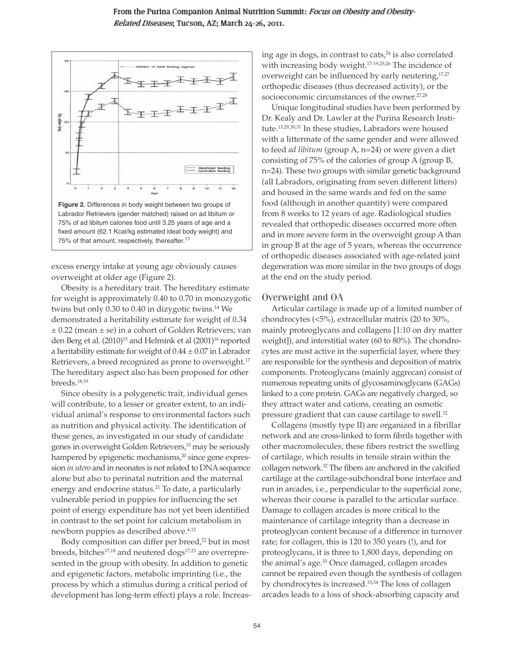

excess energy intake at young age obviously causes overweight at older age (Figure 2).

Obesity is a hereditary trait. The hereditary estimate for weight is approximately 0.40 to 0.70 in monozygotic twins but only 0.30 to 0.40 in dizygotic twins.<sup>14</sup> We demonstrated a heritability estimate for weight of 0.34 ± 0.22 (mean ± se) in a cohort of Golden Retrievers; van den Berg et al. (2010)<sup>15</sup> and Helmink et al (2001)<sup>16</sup> reported a heritability estimate for weight of  $0.44 \pm 0.07$  in Labrador Retrievers, a breed recognized as prone to overweight.<sup>17</sup> The hereditary aspect also has been proposed for other breeds.18,19

Since obesity is a polygenetic trait, individual genes will contribute, to a lesser or greater extent, to an individual animal's response to environmental factors such as nutrition and physical activity. The identification of these genes, as investigated in our study of candidate genes in overweight Golden Retrievers,<sup>15</sup> may be seriously hampered by epigenetic mechanisms,<sup>20</sup> since gene expression *in utero* and in neonates is not related to DNA sequence alone but also to perinatal nutrition and the maternal energy and endocrine status.<sup>21</sup> To date, a particularly vulnerable period in puppies for influencing the set point of energy expenditure has not yet been identified in contrast to the set point for calcium metabolism in newborn puppies as described above.<sup>4,12</sup>

Body composition can differ per breed,<sup>22</sup> but in most breeds, bitches<sup>17,18</sup> and neutered dogs<sup>17,23</sup> are overrepresented in the group with obesity. In addition to genetic and epigenetic factors, metabolic imprinting (i.e., the process by which a stimulus during a critical period of development has long-term effect) plays a role. Increasing age in dogs, in contrast to cats,<sup>24</sup> is also correlated with increasing body weight.<sup>17-19,25,26</sup> The incidence of overweight can be influenced by early neutering,<sup>17,27</sup> orthopedic diseases (thus decreased activity), or the socioeconomic circumstances of the owner.<sup>27,28</sup>

Unique longitudinal studies have been performed by Dr. Kealy and Dr. Lawler at the Purina Research Institute.13,29,30,31 In these studies, Labradors were housed with a littermate of the same gender and were allowed to feed *ad libitum* (group A, n=24) or were given a diet consisting of 75% of the calories of group A (group B, n=24). These two groups with similar genetic background (all Labradors, originating from seven different litters) and housed in the same wards and fed on the same food (although in another quantity) were compared from 8 weeks to 12 years of age. Radiological studies revealed that orthopedic diseases occurred more often and in more severe form in the overweight group A than in group B at the age of 5 years, whereas the occurrence of orthopedic diseases associated with age-related joint degeneration was more similar in the two groups of dogs at the end on the study period.

## Overweight and OA

Articular cartilage is made up of a limited number of chondrocytes (<5%), extracellular matrix (20 to 30%, mainly proteoglycans and collagens [1:10 on dry matter weight]), and interstitial water (60 to 80%). The chondrocytes are most active in the superficial layer, where they are responsible for the synthesis and deposition of matrix components. Proteoglycans (mainly aggrecan) consist of numerous repeating units of glycosaminoglycans (GAGs) linked to a core protein. GAGs are negatively charged, so they attract water and cations, creating an osmotic pressure gradient that can cause cartilage to swell.32

Collagens (mostly type II) are organized in a fibrillar network and are cross-linked to form fibrils together with other macromolecules; these fibers restrict the swelling of cartilage, which results in tensile strain within the collagen network.<sup>32</sup> The fibers are anchored in the calcified cartilage at the cartilage-subchondral bone interface and run in arcades, i.e., perpendicular to the superficial zone, whereas their course is parallel to the articular surface. Damage to collagen arcades is more critical to the maintenance of cartilage integrity than a decrease in proteoglycan content because of a difference in turnover rate; for collagen, this is 120 to 350 years (!), and for proteoglycans, it is three to 1,800 days, depending on the animal's age.33 Once damaged, collagen arcades cannot be repaired even though the synthesis of collagen by chondrocytes is increased.<sup>33,34</sup> The loss of collagen arcades leads to a loss of shock-absorbing capacity and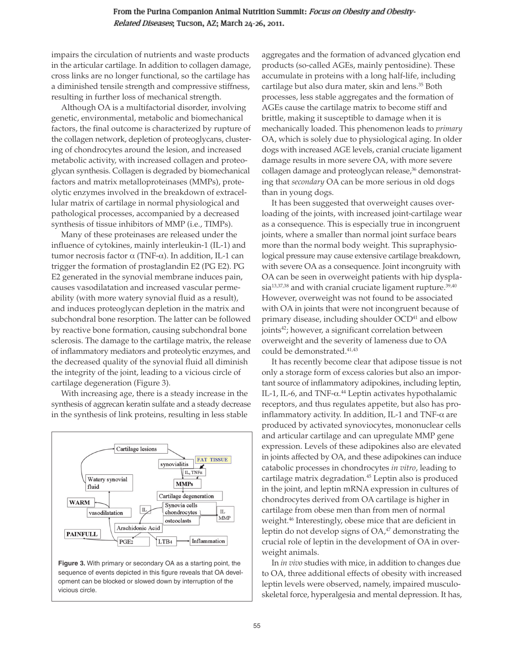impairs the circulation of nutrients and waste products in the articular cartilage. In addition to collagen damage, cross links are no longer functional, so the cartilage has a diminished tensile strength and compressive stiffness, resulting in further loss of mechanical strength.

Although OA is a multifactorial disorder, involving genetic, environmental, metabolic and biomechanical factors, the final outcome is characterized by rupture of the collagen network, depletion of proteoglycans, clustering of chondrocytes around the lesion, and increased metabolic activity, with increased collagen and proteoglycan synthesis. Collagen is degraded by biomechanical factors and matrix metalloproteinases (MMPs), proteolytic enzymes involved in the breakdown of extracellular matrix of cartilage in normal physiological and pathological processes, accompanied by a decreased synthesis of tissue inhibitors of MMP (i.e., TIMPs).

Many of these proteinases are released under the influence of cytokines, mainly interleukin-1 (IL-1) and tumor necrosis factor  $\alpha$  (TNF- $\alpha$ ). In addition, IL-1 can trigger the formation of prostaglandin E2 (PG E2). PG E2 generated in the synovial membrane induces pain, causes vasodilatation and increased vascular permeability (with more watery synovial fluid as a result), and induces proteoglycan depletion in the matrix and subchondral bone resorption. The latter can be followed by reactive bone formation, causing subchondral bone sclerosis. The damage to the cartilage matrix, the release of inflammatory mediators and proteolytic enzymes, and the decreased quality of the synovial fluid all diminish the integrity of the joint, leading to a vicious circle of cartilage degeneration (Figure 3).

With increasing age, there is a steady increase in the synthesis of aggrecan keratin sulfate and a steady decrease in the synthesis of link proteins, resulting in less stable



**Figure 3.** With primary or secondary OA as a starting point, the sequence of events depicted in this figure reveals that OA development can be blocked or slowed down by interruption of the vicious circle.

aggregates and the formation of advanced glycation end products (so-called AGEs, mainly pentosidine). These accumulate in proteins with a long half-life, including cartilage but also dura mater, skin and lens.<sup>35</sup> Both processes, less stable aggregates and the formation of AGEs cause the cartilage matrix to become stiff and brittle, making it susceptible to damage when it is mechanically loaded. This phenomenon leads to *primary* OA, which is solely due to physiological aging. In older dogs with increased AGE levels, cranial cruciate ligament damage results in more severe OA, with more severe collagen damage and proteoglycan release,<sup>36</sup> demonstrating that *secondary* OA can be more serious in old dogs than in young dogs.

It has been suggested that overweight causes overloading of the joints, with increased joint-cartilage wear as a consequence. This is especially true in incongruent joints, where a smaller than normal joint surface bears more than the normal body weight. This supraphysiological pressure may cause extensive cartilage breakdown, with severe OA as a consequence. Joint incongruity with OA can be seen in overweight patients with hip dyspla $sia<sup>13,37,38</sup>$  and with cranial cruciate ligament rupture.<sup>39,40</sup> However, overweight was not found to be associated with OA in joints that were not incongruent because of primary disease, including shoulder OCD<sup>41</sup> and elbow joints<sup>42</sup>; however, a significant correlation between overweight and the severity of lameness due to OA could be demonstrated.<sup>41,43</sup>

It has recently become clear that adipose tissue is not only a storage form of excess calories but also an important source of inflammatory adipokines, including leptin, IL-1, IL-6, and TNF- $\alpha$ .<sup>44</sup> Leptin activates hypothalamic receptors, and thus regulates appetite, but also has proinflammatory activity. In addition, IL-1 and TNF- $\alpha$  are produced by activated synoviocytes, mononuclear cells and articular cartilage and can upregulate MMP gene expression. Levels of these adipokines also are elevated in joints affected by OA, and these adipokines can induce catabolic processes in chondrocytes *in vitro*, leading to cartilage matrix degradation.<sup>45</sup> Leptin also is produced in the joint, and leptin mRNA expression in cultures of chondrocytes derived from OA cartilage is higher in cartilage from obese men than from men of normal weight.46 Interestingly, obese mice that are deficient in leptin do not develop signs of  $OA<sub>+</sub><sup>47</sup>$  demonstrating the crucial role of leptin in the development of OA in overweight animals.

In *in vivo* studies with mice, in addition to changes due to OA, three additional effects of obesity with increased leptin levels were observed, namely, impaired musculoskeletal force, hyperalgesia and mental depression. It has,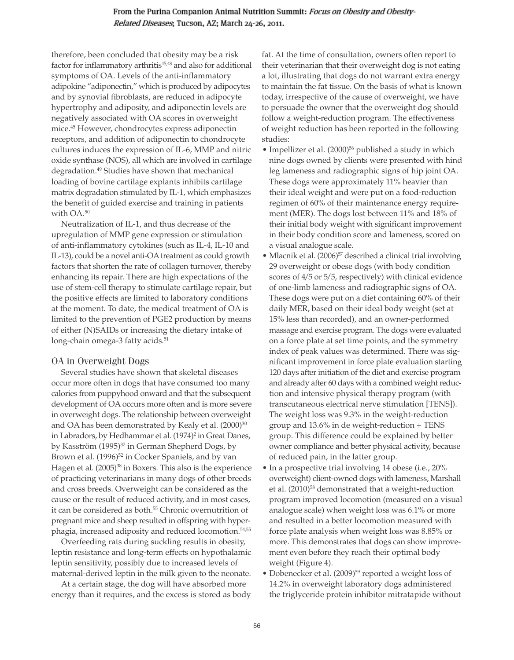therefore, been concluded that obesity may be a risk factor for inflammatory arthritis<sup>45,48</sup> and also for additional symptoms of OA. Levels of the anti-inflammatory adipokine "adiponectin," which is produced by adipocytes and by synovial fibroblasts, are reduced in adipocyte hypertrophy and adiposity, and adiponectin levels are negatively associated with OA scores in overweight mice.45 However, chondrocytes express adiponectin receptors, and addition of adiponectin to chondrocyte cultures induces the expression of IL-6, MMP and nitric oxide synthase (NOS), all which are involved in cartilage degradation.49 Studies have shown that mechanical loading of bovine cartilage explants inhibits cartilage matrix degradation stimulated by IL-1, which emphasizes the benefit of guided exercise and training in patients with OA.50

Neutralization of IL-1, and thus decrease of the upregulation of MMP gene expression or stimulation of anti-inflammatory cytokines (such as IL-4, IL-10 and IL-13), could be a novel anti-OA treatment as could growth factors that shorten the rate of collagen turnover, thereby enhancing its repair. There are high expectations of the use of stem-cell therapy to stimulate cartilage repair, but the positive effects are limited to laboratory conditions at the moment. To date, the medical treatment of OA is limited to the prevention of PGE2 production by means of either (N)SAIDs or increasing the dietary intake of long-chain omega-3 fatty acids.<sup>51</sup>

## OA in Overweight Dogs

Several studies have shown that skeletal diseases occur more often in dogs that have consumed too many calories from puppyhood onward and that the subsequent development of OA occurs more often and is more severe in overweight dogs. The relationship between overweight and OA has been demonstrated by Kealy et al. (2000)<sup>30</sup> in Labradors, by Hedhammar et al. (1974)<sup>2</sup> in Great Danes, by Kasström (1995)<sup>37</sup> in German Shepherd Dogs, by Brown et al. (1996)<sup>52</sup> in Cocker Spaniels, and by van Hagen et al. (2005)<sup>38</sup> in Boxers. This also is the experience of practicing veterinarians in many dogs of other breeds and cross breeds. Overweight can be considered as the cause or the result of reduced activity, and in most cases, it can be considered as both.<sup>55</sup> Chronic overnutrition of pregnant mice and sheep resulted in offspring with hyperphagia, increased adiposity and reduced locomotion.54,55

Overfeeding rats during suckling results in obesity, leptin resistance and long-term effects on hypothalamic leptin sensitivity, possibly due to increased levels of maternal-derived leptin in the milk given to the neonate.

At a certain stage, the dog will have absorbed more energy than it requires, and the excess is stored as body fat. At the time of consultation, owners often report to their veterinarian that their overweight dog is not eating a lot, illustrating that dogs do not warrant extra energy to maintain the fat tissue. On the basis of what is known today, irrespective of the cause of overweight, we have to persuade the owner that the overweight dog should follow a weight-reduction program. The effectiveness of weight reduction has been reported in the following studies:

- Impellizer et al. (2000)<sup>56</sup> published a study in which nine dogs owned by clients were presented with hind leg lameness and radiographic signs of hip joint OA. These dogs were approximately 11% heavier than their ideal weight and were put on a food-reduction regimen of 60% of their maintenance energy requirement (MER). The dogs lost between 11% and 18% of their initial body weight with significant improvement in their body condition score and lameness, scored on a visual analogue scale.
- Mlacnik et al. (2006)<sup>57</sup> described a clinical trial involving 29 overweight or obese dogs (with body condition scores of 4/5 or 5/5, respectively) with clinical evidence of one-limb lameness and radiographic signs of OA. These dogs were put on a diet containing 60% of their daily MER, based on their ideal body weight (set at 15% less than recorded), and an owner-performed massage and exercise program. The dogs were evaluated on a force plate at set time points, and the symmetry index of peak values was determined. There was significant improvement in force plate evaluation starting 120 days after initiation of the diet and exercise program and already after 60 days with a combined weight reduction and intensive physical therapy program (with transcutaneous electrical nerve stimulation [TENS]). The weight loss was 9.3% in the weight-reduction group and 13.6% in de weight-reduction + TENS group. This difference could be explained by better owner compliance and better physical activity, because of reduced pain, in the latter group.
- In a prospective trial involving 14 obese (i.e., 20% overweight) client-owned dogs with lameness, Marshall et al. (2010)<sup>58</sup> demonstrated that a weight-reduction program improved locomotion (measured on a visual analogue scale) when weight loss was 6.1% or more and resulted in a better locomotion measured with force plate analysis when weight loss was 8.85% or more. This demonstrates that dogs can show improvement even before they reach their optimal body weight (Figure 4).
- Dobenecker et al. (2009)<sup>59</sup> reported a weight loss of 14.2% in overweight laboratory dogs administered the triglyceride protein inhibitor mitratapide without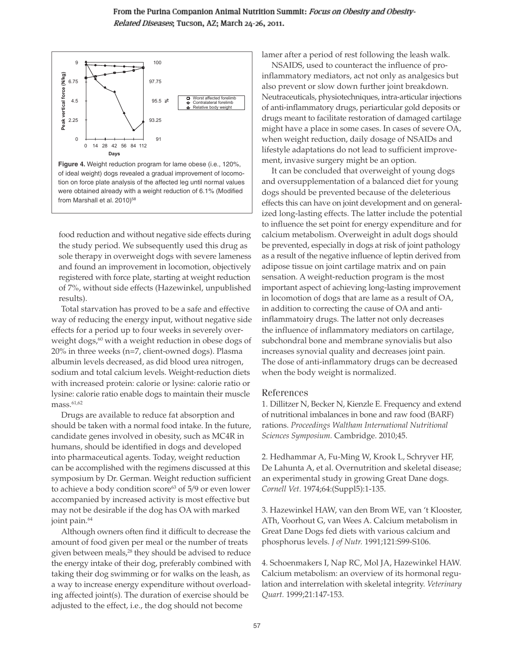

**Figure 4.** Weight reduction program for lame obese (i.e., 120%, of ideal weight) dogs revealed a gradual improvement of locomotion on force plate analysis of the affected leg until normal values were obtained already with a weight reduction of 6.1% (Modified from Marshall et al. 2010)<sup>58</sup>

food reduction and without negative side effects during the study period. We subsequently used this drug as sole therapy in overweight dogs with severe lameness and found an improvement in locomotion, objectively registered with force plate, starting at weight reduction of 7%, without side effects (Hazewinkel, unpublished results).

Total starvation has proved to be a safe and effective way of reducing the energy input, without negative side effects for a period up to four weeks in severely overweight dogs,<sup>60</sup> with a weight reduction in obese dogs of 20% in three weeks (n=7, client-owned dogs). Plasma albumin levels decreased, as did blood urea nitrogen, sodium and total calcium levels. Weight-reduction diets with increased protein: calorie or lysine: calorie ratio or lysine: calorie ratio enable dogs to maintain their muscle  $mass.<sup>61,62</sup>$ 

Drugs are available to reduce fat absorption and should be taken with a normal food intake. In the future, candidate genes involved in obesity, such as MC4R in humans, should be identified in dogs and developed into pharmaceutical agents. Today, weight reduction can be accomplished with the regimens discussed at this symposium by Dr. German. Weight reduction sufficient to achieve a body condition score<sup>63</sup> of 5/9 or even lower accompanied by increased activity is most effective but may not be desirable if the dog has OA with marked joint pain.<sup>64</sup>

Although owners often find it difficult to decrease the amount of food given per meal or the number of treats given between meals,<sup>28</sup> they should be advised to reduce the energy intake of their dog, preferably combined with taking their dog swimming or for walks on the leash, as a way to increase energy expenditure without overloading affected joint(s). The duration of exercise should be adjusted to the effect, i.e., the dog should not become

lamer after a period of rest following the leash walk.

NSAIDS, used to counteract the influence of proinflammatory mediators, act not only as analgesics but also prevent or slow down further joint breakdown. Neutraceuticals, physiotechniques, intra-articular injections of anti-inflammatory drugs, periarticular gold deposits or drugs meant to facilitate restoration of damaged cartilage might have a place in some cases. In cases of severe OA, when weight reduction, daily dosage of NSAIDs and lifestyle adaptations do not lead to sufficient improvement, invasive surgery might be an option.

It can be concluded that overweight of young dogs and oversupplementation of a balanced diet for young dogs should be prevented because of the deleterious effects this can have on joint development and on generalized long-lasting effects. The latter include the potential to influence the set point for energy expenditure and for calcium metabolism. Overweight in adult dogs should be prevented, especially in dogs at risk of joint pathology as a result of the negative influence of leptin derived from adipose tissue on joint cartilage matrix and on pain sensation. A weight-reduction program is the most important aspect of achieving long-lasting improvement in locomotion of dogs that are lame as a result of OA, in addition to correcting the cause of OA and antiinflammatoiry drugs. The latter not only decreases the influence of inflammatory mediators on cartilage, subchondral bone and membrane synovialis but also increases synovial quality and decreases joint pain. The dose of anti-inflammatory drugs can be decreased when the body weight is normalized.

## References

1. Dillitzer N, Becker N, Kienzle E. Frequency and extend of nutritional imbalances in bone and raw food (BARF) rations. *Proceedings Waltham International Nutritional Sciences Symposium.* Cambridge. 2010;45.

2. Hedhammar A, Fu-Ming W, Krook L, Schryver HF, De Lahunta A, et al. Overnutrition and skeletal disease; an experimental study in growing Great Dane dogs. *Cornell Vet.* 1974;64:(Suppl5):1-135.

3. Hazewinkel HAW, van den Brom WE, van 't Klooster, ATh, Voorhout G, van Wees A. Calcium metabolism in Great Dane Dogs fed diets with various calcium and phosphorus levels. *J of Nutr.* 1991;121:S99-S106.

4. Schoenmakers I, Nap RC, Mol JA, Hazewinkel HAW. Calcium metabolism: an overview of its hormonal regulation and interrelation with skeletal integrity. *Veterinary Quart.* 1999;21:147-153.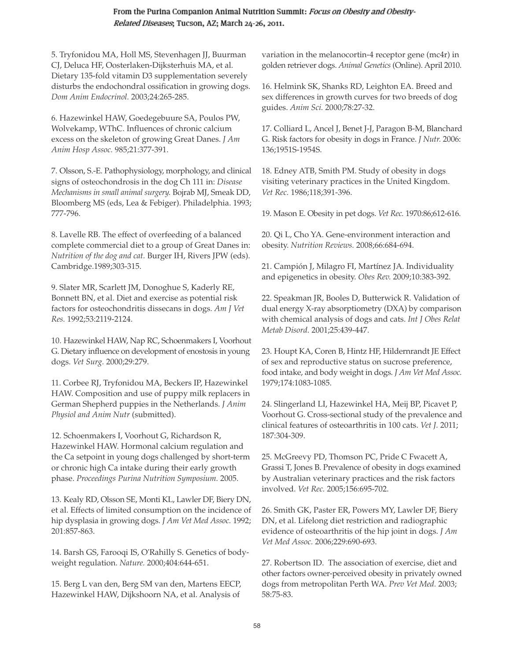5. Tryfonidou MA, Holl MS, Stevenhagen JJ, Buurman CJ, Deluca HF, Oosterlaken-Dijksterhuis MA, et al. Dietary 135-fold vitamin D3 supplementation severely disturbs the endochondral ossification in growing dogs. *Dom Anim Endocrinol.* 2003;24:265-285.

6. Hazewinkel HAW, Goedegebuure SA, Poulos PW, Wolvekamp, WThC. Influences of chronic calcium excess on the skeleton of growing Great Danes. *J Am Anim Hosp Assoc.* 985;21:377-391.

7. Olsson, S.-E. Pathophysiology, morphology, and clinical signs of osteochondrosis in the dog Ch 111 in: *Disease Mechanisms in small animal surgery.* Bojrab MJ, Smeak DD, Bloomberg MS (eds, Lea & Febiger). Philadelphia. 1993; 777-796.

8. Lavelle RB. The effect of overfeeding of a balanced complete commercial diet to a group of Great Danes in: *Nutrition of the dog and cat.* Burger IH, Rivers JPW (eds). Cambridge.1989;303-315.

9. Slater MR, Scarlett JM, Donoghue S, Kaderly RE, Bonnett BN, et al. Diet and exercise as potential risk factors for osteochondritis dissecans in dogs. *Am J Vet Res.* 1992;53:2119-2124.

10. Hazewinkel HAW, Nap RC, Schoenmakers I, Voorhout G. Dietary influence on development of enostosis in young dogs. *Vet Surg.* 2000;29:279.

11. Corbee RJ, Tryfonidou MA, Beckers IP, Hazewinkel HAW. Composition and use of puppy milk replacers in German Shepherd puppies in the Netherlands. *J Anim Physiol and Anim Nutr* (submitted).

12. Schoenmakers I, Voorhout G, Richardson R, Hazewinkel HAW. Hormonal calcium regulation and the Ca setpoint in young dogs challenged by short-term or chronic high Ca intake during their early growth phase. *Proceedings Purina Nutrition Symposium.* 2005.

13. Kealy RD, Olsson SE, Monti KL, Lawler DF, Biery DN, et al. Effects of limited consumption on the incidence of hip dysplasia in growing dogs. *J Am Vet Med Assoc.* 1992; 201:857-863.

14. Barsh GS, Farooqi IS, O'Rahilly S. Genetics of bodyweight regulation. *Nature.* 2000;404:644-651.

15. Berg L van den, Berg SM van den, Martens EECP, Hazewinkel HAW, Dijkshoorn NA, et al. Analysis of

variation in the melanocortin-4 receptor gene (mc4r) in golden retriever dogs. *Animal Genetics* (Online). April 2010.

16. Helmink SK, Shanks RD, Leighton EA. Breed and sex differences in growth curves for two breeds of dog guides. *Anim Sci.* 2000;78:27-32.

17. Colliard L, Ancel J, Benet J-J, Paragon B-M, Blanchard G. Risk factors for obesity in dogs in France. *J Nutr.* 2006: 136;1951S-1954S.

18. Edney ATB, Smith PM. Study of obesity in dogs visiting veterinary practices in the United Kingdom. *Vet Rec.* 1986;118;391-396.

19. Mason E. Obesity in pet dogs. *Vet Rec.* 1970:86;612-616.

20. Qi L, Cho YA. Gene-environment interaction and obesity. *Nutrition Reviews.* 2008;66:684-694.

21. Campión J, Milagro FI, Martínez JA. Individuality and epigenetics in obesity. *Obes Rev.* 2009;10:383-392.

22. Speakman JR, Booles D, Butterwick R. Validation of dual energy X-ray absorptiometry (DXA) by comparison with chemical analysis of dogs and cats. *Int J Obes Relat Metab Disord.* 2001;25:439-447.

23. Houpt KA, Coren B, Hintz HF, Hildernrandt JE Effect of sex and reproductive status on sucrose preference, food intake, and body weight in dogs. *J Am Vet Med Assoc.* 1979;174:1083-1085.

24. Slingerland LI, Hazewinkel HA, Meij BP, Picavet P, Voorhout G. Cross-sectional study of the prevalence and clinical features of osteoarthritis in 100 cats. *Vet J.* 2011; 187:304-309.

25. McGreevy PD, Thomson PC, Pride C Fwacett A, Grassi T, Jones B. Prevalence of obesity in dogs examined by Australian veterinary practices and the risk factors involved. *Vet Rec.* 2005;156:695-702.

26. Smith GK, Paster ER, Powers MY, Lawler DF, Biery DN, et al. Lifelong diet restriction and radiographic evidence of osteoarthritis of the hip joint in dogs. *J Am Vet Med Assoc.* 2006;229:690-693.

27. Robertson ID. The association of exercise, diet and other factors owner-perceived obesity in privately owned dogs from metropolitan Perth WA. *Prev Vet Med.* 2003; 58:75-83.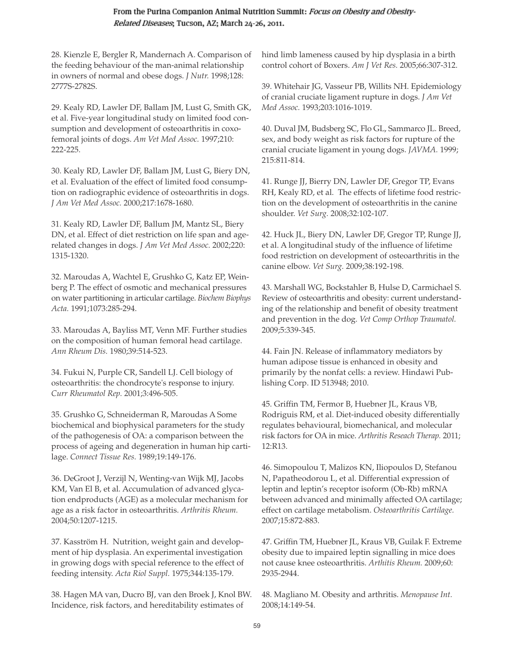28. Kienzle E, Bergler R, Mandernach A. Comparison of the feeding behaviour of the man-animal relationship in owners of normal and obese dogs. *J Nutr.* 1998;128: 2777S-2782S.

29. Kealy RD, Lawler DF, Ballam JM, Lust G, Smith GK, et al. Five-year longitudinal study on limited food consumption and development of osteoarthritis in coxofemoral joints of dogs. *Am Vet Med Assoc.* 1997;210: 222-225.

30. Kealy RD, Lawler DF, Ballam JM, Lust G, Biery DN, et al. Evaluation of the effect of limited food consumption on radiographic evidence of osteoarthritis in dogs. *J Am Vet Med Assoc.* 2000;217:1678-1680.

31. Kealy RD, Lawler DF, Ballum JM, Mantz SL, Biery DN, et al. Effect of diet restriction on life span and agerelated changes in dogs. *J Am Vet Med Assoc.* 2002;220: 1315-1320.

32. Maroudas A, Wachtel E, Grushko G, Katz EP, Weinberg P. The effect of osmotic and mechanical pressures on water partitioning in articular cartilage. *Biochem Biophys Acta.* 1991;1073:285-294.

33. Maroudas A, Bayliss MT, Venn MF. Further studies on the composition of human femoral head cartilage. *Ann Rheum Dis.* 1980;39:514-523.

34. Fukui N, Purple CR, Sandell LJ. Cell biology of osteoarthritis: the chondrocyte's response to injury. *Curr Rheumatol Rep.* 2001;3:496-505.

35. Grushko G, Schneiderman R, Maroudas A Some biochemical and biophysical parameters for the study of the pathogenesis of OA: a comparison between the process of ageing and degeneration in human hip cartilage. *Connect Tissue Res.* 1989;19:149-176.

36. DeGroot J, Verzijl N, Wenting-van Wijk MJ, Jacobs KM, Van El B, et al. Accumulation of advanced glycation endproducts (AGE) as a molecular mechanism for age as a risk factor in osteoarthritis. *Arthritis Rheum.* 2004;50:1207-1215.

37. Kasström H. Nutrition, weight gain and development of hip dysplasia. An experimental investigation in growing dogs with special reference to the effect of feeding intensity. *Acta Riol Suppl.* 1975;344:135-179.

38. Hagen MA van, Ducro BJ, van den Broek J, Knol BW. Incidence, risk factors, and hereditability estimates of

hind limb lameness caused by hip dysplasia in a birth control cohort of Boxers. *Am J Vet Res.* 2005;66:307-312.

39. Whitehair JG, Vasseur PB, Willits NH. Epidemiology of cranial cruciate ligament rupture in dogs. *J Am Vet Med Assoc.* 1993;203:1016-1019.

40. Duval JM, Budsberg SC, Flo GL, Sammarco JL. Breed, sex, and body weight as risk factors for rupture of the cranial cruciate ligament in young dogs. *JAVMA.* 1999; 215:811-814.

41. Runge JJ, Bierry DN, Lawler DF, Gregor TP, Evans RH, Kealy RD, et al. The effects of lifetime food restriction on the development of osteoarthritis in the canine shoulder. *Vet Surg.* 2008;32:102-107.

42. Huck JL, Biery DN, Lawler DF, Gregor TP, Runge JJ, et al. A longitudinal study of the influence of lifetime food restriction on development of osteoarthritis in the canine elbow. *Vet Surg.* 2009;38:192-198.

43. Marshall WG, Bockstahler B, Hulse D, Carmichael S. Review of osteoarthritis and obesity: current understanding of the relationship and benefit of obesity treatment and prevention in the dog. *Vet Comp Orthop Traumatol.* 2009;5:339-345.

44. Fain JN. Release of inflammatory mediators by human adipose tissue is enhanced in obesity and primarily by the nonfat cells: a review. Hindawi Publishing Corp. ID 513948; 2010.

45. Griffin TM, Fermor B, Huebner JL, Kraus VB, Rodriguis RM, et al. Diet-induced obesity differentially regulates behavioural, biomechanical, and molecular risk factors for OA in mice. *Arthritis Reseach Therap.* 2011; 12:R13.

46. Simopoulou T, Malizos KN, Iliopoulos D, Stefanou N, Papatheodorou L, et al. Differential expression of leptin and leptin's receptor isoform (Ob-Rb) mRNA between advanced and minimally affected OA cartilage; effect on cartilage metabolism. *Osteoarthritis Cartilage.* 2007;15:872-883.

47. Griffin TM, Huebner JL, Kraus VB, Guilak F. Extreme obesity due to impaired leptin signalling in mice does not cause knee osteoarthritis. *Arthitis Rheum.* 2009;60: 2935-2944.

48. Magliano M. Obesity and arthritis. *Menopause Int.* 2008;14:149-54.